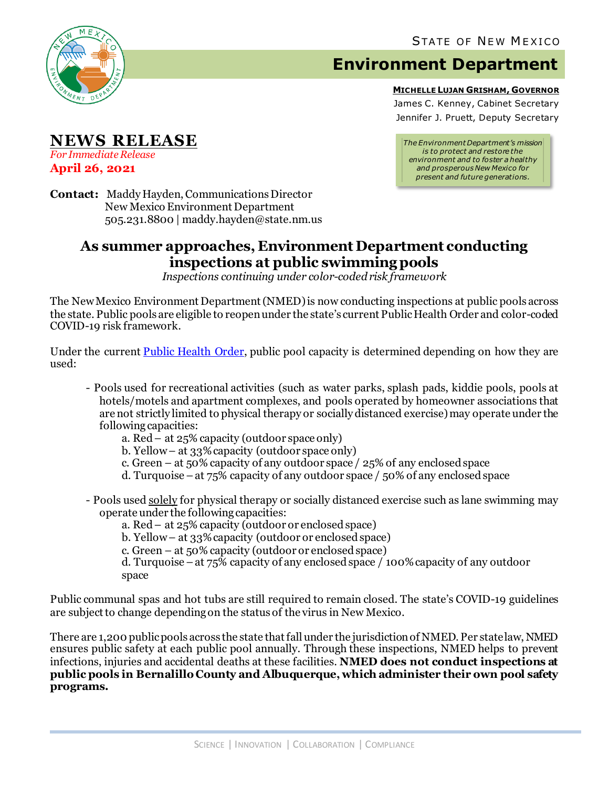

**NEWS RELEASE**

*For Immediate Release* **April 26, 2021**

## **Environment Department**

**MICHELLE LUJAN GRISHAM, GOVERNOR**

James C. Kenney, Cabinet Secretary Jennifer J. Pruett, Deputy Secretary

*The Environment Department's mission is to protect and restore the environment and to foster a healthy and prosperous New Mexico for present and future generations.*

**Contact:** Maddy Hayden, Communications Director New Mexico Environment Department 505.231.8800 | maddy.hayden@state.nm.us

## **As summer approaches, Environment Department conducting inspections at public swimming pools**

*Inspections continuing under color-coded risk framework*

The New Mexico Environment Department (NMED) is now conducting inspections at public pools across the state. Public pools are eligible to reopen under the state's current Public Health Order and color-coded COVID-19 risk framework.

Under the current [Public Health Order,](https://cv.nmhealth.org/wp-content/uploads/2021/04/042321-PHO.pdf) public pool capacity is determined depending on how they are used:

- Pools used for recreational activities (such as water parks, splash pads, kiddie pools, pools at hotels/motels and apartment complexes, and pools operated by homeowner associations that are not strictly limited to physical therapy or socially distanced exercise) may operate under the following capacities:
	- a. Red at 25% capacity (outdoor space only)
	- b. Yellow at 33% capacity (outdoor space only)
	- c. Green at 50% capacity of any outdoor space / 25% of any enclosed space
	- d. Turquoise –at 75% capacity of any outdoor space / 50% of any enclosed space
- Pools used solely for physical therapy or socially distanced exercise such as lane swimming may operate under the following capacities:
	- a. Red at 25% capacity (outdoor or enclosed space)
	- b. Yellow at 33% capacity (outdoor or enclosed space)
	- c. Green at 50% capacity (outdoor or enclosed space)

d. Turquoise –at 75% capacity of any enclosed space / 100% capacity of any outdoor space

Public communal spas and hot tubs are still required to remain closed. The state's COVID-19 guidelines are subject to change depending on the status of the virus in New Mexico.

There are 1,200 public pools across the state that fall under the jurisdiction of NMED. Per state law, NMED ensures public safety at each public pool annually. Through these inspections, NMED helps to prevent infections, injuries and accidental deaths at these facilities. **NMED does not conduct inspections at public pools in Bernalillo County and Albuquerque, which administer their own pool safety programs.**